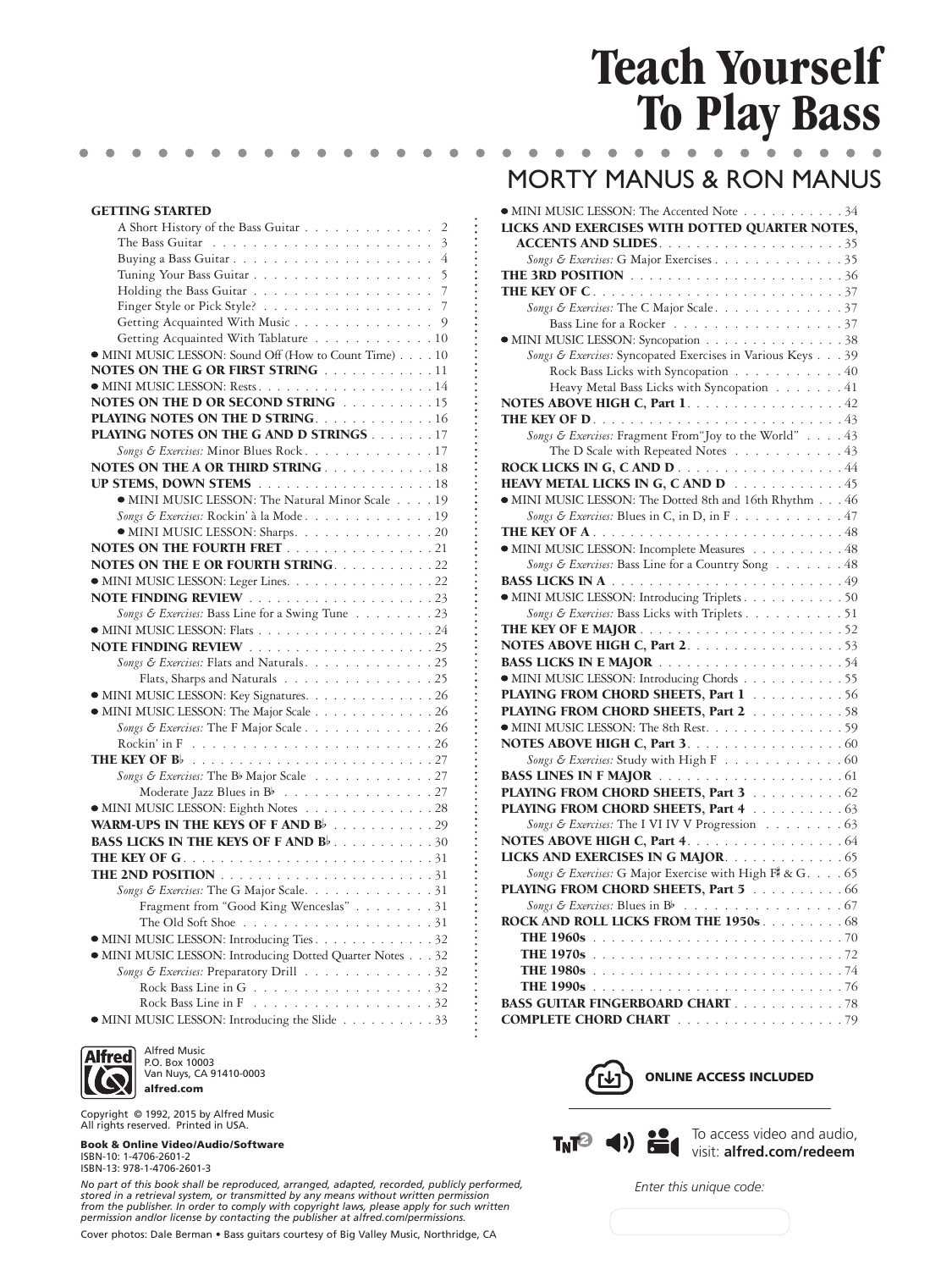## **Teach Yourself To Play Bass**

## GETTING STARTED

| A Short History of the Bass Guitar<br>2                  |
|----------------------------------------------------------|
| 3                                                        |
| Buying a Bass Guitar<br>4                                |
| 5                                                        |
|                                                          |
| Finger Style or Pick Style? 7                            |
| Getting Acquainted With Music 9                          |
| Getting Acquainted With Tablature 10                     |
| • MINI MUSIC LESSON: Sound Off (How to Count Time) 10    |
| NOTES ON THE G OR FIRST STRING 11                        |
|                                                          |
| <b>NOTES ON THE D OR SECOND STRING FIG. 10.10.10.15</b>  |
| <b>PLAYING NOTES ON THE D STRING.</b> 16                 |
| <b>PLAYING NOTES ON THE G AND D STRINGS 17</b>           |
| Songs & Exercises: Minor Blues Rock17                    |
| <b>NOTES ON THE A OR THIRD STRING 18</b>                 |
|                                                          |
| • MINI MUSIC LESSON: The Natural Minor Scale 19          |
| Songs & Exercises: Rockin' à la Mode19                   |
| • MINI MUSIC LESSON: Sharps. 20                          |
| <b>NOTES ON THE FOURTH FRET</b> 21                       |
|                                                          |
| <b>NOTES ON THE E OR FOURTH STRING22</b>                 |
| • MINI MUSIC LESSON: Leger Lines. 22                     |
|                                                          |
| Songs & Exercises: Bass Line for a Swing Tune 23         |
|                                                          |
|                                                          |
| Songs & Exercises: Flats and Naturals. 25                |
| Flats, Sharps and Naturals 25                            |
| • MINI MUSIC LESSON: Key Signatures. 26                  |
| • MINI MUSIC LESSON: The Major Scale 26                  |
| Songs & Exercises: The F Major Scale 26                  |
|                                                          |
|                                                          |
| Songs & Exercises: The Bb Major Scale 27                 |
| Moderate Jazz Blues in $B^{\flat}$ 27                    |
| • MINI MUSIC LESSON: Eighth Notes 28                     |
| WARM-UPS IN THE KEYS OF FAND B 29                        |
| <b>BASS LICKS IN THE KEYS OF FAND B</b> . 30             |
|                                                          |
|                                                          |
| Songs & Exercises: The G Major Scale. 31                 |
| Fragment from "Good King Wenceslas" 31                   |
|                                                          |
| • MINI MUSIC LESSON: Introducing Ties. 32                |
| • MINI MUSIC LESSON: Introducing Dotted Quarter Notes 32 |
| Songs & Exercises: Preparatory Drill 32                  |
|                                                          |
|                                                          |
| • MINI MUSIC LESSON: Introducing the Slide 33            |
|                                                          |



Alfred Music P.O. Box 10003 Van Nuys, CA 91410-0003 alfred.com

Copyright © 1992, 2015 by Alfred Music All rights reserved. Printed in USA.

Book & Online Video/Audio/Software ISBN-10: 1-4706-2601-2 ISBN-13: 978-1-4706-2601-3

*No part of this book shall be reproduced, arranged, adapted, recorded, publicly performed,*  stored in a retrieval system, or transmitted by any means without written permission<br>from the publisher. In order to comply with copyright laws, please apply for such written<br>permission and/or license by contacting the pub

Cover photos: Dale Berman • Bass guitars courtesy of Big Valley Music, Northridge, CA

## MORTY MANUS & RON MANUS

| • MINI MUSIC LESSON: The Accented Note 34                                                           |  |
|-----------------------------------------------------------------------------------------------------|--|
| LICKS AND EXERCISES WITH DOTTED QUARTER NOTES,                                                      |  |
|                                                                                                     |  |
| Songs & Exercises: G Major Exercises 35                                                             |  |
|                                                                                                     |  |
|                                                                                                     |  |
| Songs & Exercises: The C Major Scale. 37                                                            |  |
| Bass Line for a Rocker 37                                                                           |  |
| • MINI MUSIC LESSON: Syncopation 38                                                                 |  |
| Songs & Exercises: Syncopated Exercises in Various Keys 39                                          |  |
| Rock Bass Licks with Syncopation 40                                                                 |  |
| Heavy Metal Bass Licks with Syncopation 41                                                          |  |
| NOTES ABOVE HIGH C, Part 1. 42                                                                      |  |
|                                                                                                     |  |
| Songs & Exercises: Fragment From "Joy to the World" 43                                              |  |
| The D Scale with Repeated Notes 43                                                                  |  |
| <b>ROCK LICKS IN G, CAND D44</b>                                                                    |  |
| <b>HEAVY METAL LICKS IN G, C AND D</b> 45<br>• MINI MUSIC LESSON: The Dotted 8th and 16th Rhythm 46 |  |
| Songs & Exercises: Blues in C, in D, in F47                                                         |  |
|                                                                                                     |  |
| • MINI MUSIC LESSON: Incomplete Measures 48                                                         |  |
| Songs & Exercises: Bass Line for a Country Song 48                                                  |  |
|                                                                                                     |  |
| • MINI MUSIC LESSON: Introducing Triplets 50                                                        |  |
| Songs & Exercises: Bass Licks with Triplets 51                                                      |  |
|                                                                                                     |  |
| NOTES ABOVE HIGH C, Part 2. 53                                                                      |  |
|                                                                                                     |  |
| • MINI MUSIC LESSON: Introducing Chords 55                                                          |  |
| PLAYING FROM CHORD SHEETS, Part 1 56                                                                |  |
| PLAYING FROM CHORD SHEETS, Part 2 58                                                                |  |
| • MINI MUSIC LESSON: The 8th Rest. 59                                                               |  |
| NOTES ABOVE HIGH C, Part 3. 60                                                                      |  |
| Songs & Exercises: Study with High F 60                                                             |  |
|                                                                                                     |  |
| PLAYING FROM CHORD SHEETS, Part 3 62                                                                |  |
| <b>PLAYING FROM CHORD SHEETS, Part 4 63</b>                                                         |  |
| Songs & Exercises: The I VI IV V Progression 63                                                     |  |
|                                                                                                     |  |
| LICKS AND EXERCISES IN G MAJOR. 65                                                                  |  |
| Songs & Exercises: G Major Exercise with High F# & G. 65                                            |  |
| PLAYING FROM CHORD SHEETS, Part 5 66                                                                |  |
| Songs & Exercises: Blues in Bb 67                                                                   |  |
| ROCK AND ROLL LICKS FROM THE 1950s. 68                                                              |  |
|                                                                                                     |  |
|                                                                                                     |  |
|                                                                                                     |  |
|                                                                                                     |  |
| <b>BASS GUITAR FINGERBOARD CHART</b> 78                                                             |  |
| <b>COMPLETE CHORD CHART</b> 79                                                                      |  |





To access video and audio, visit: **alfred.com/redeem**

*Enter this unique code:*